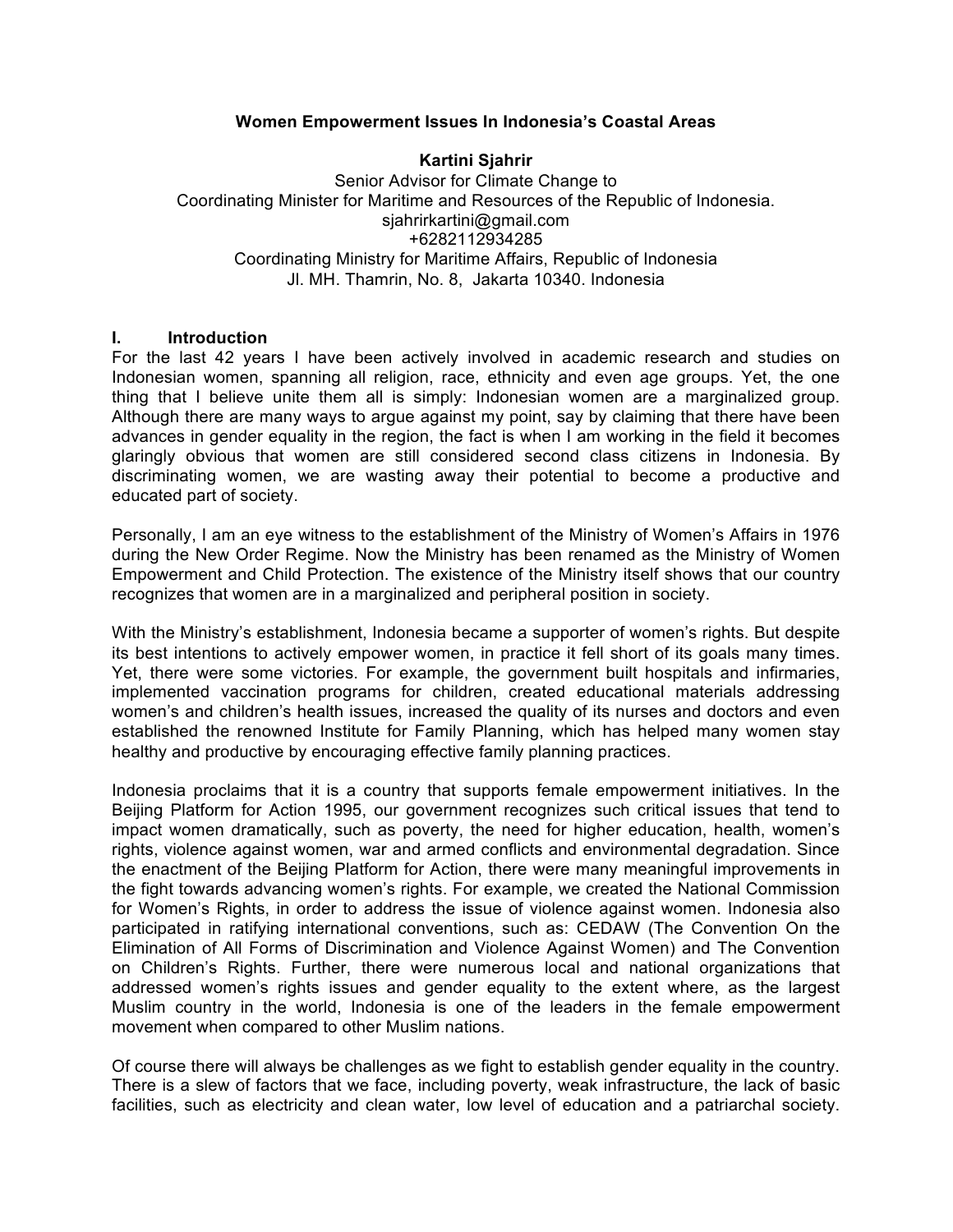### **Women Empowerment Issues In Indonesia's Coastal Areas**

#### **Kartini Sjahrir**

Senior Advisor for Climate Change to Coordinating Minister for Maritime and Resources of the Republic of Indonesia. sjahrirkartini@gmail.com +6282112934285 Coordinating Ministry for Maritime Affairs, Republic of Indonesia Jl. MH. Thamrin, No. 8, Jakarta 10340. Indonesia

#### **I. Introduction**

For the last 42 years I have been actively involved in academic research and studies on Indonesian women, spanning all religion, race, ethnicity and even age groups. Yet, the one thing that I believe unite them all is simply: Indonesian women are a marginalized group. Although there are many ways to argue against my point, say by claiming that there have been advances in gender equality in the region, the fact is when I am working in the field it becomes glaringly obvious that women are still considered second class citizens in Indonesia. By discriminating women, we are wasting away their potential to become a productive and educated part of society.

Personally, I am an eye witness to the establishment of the Ministry of Women's Affairs in 1976 during the New Order Regime. Now the Ministry has been renamed as the Ministry of Women Empowerment and Child Protection. The existence of the Ministry itself shows that our country recognizes that women are in a marginalized and peripheral position in society.

With the Ministry's establishment, Indonesia became a supporter of women's rights. But despite its best intentions to actively empower women, in practice it fell short of its goals many times. Yet, there were some victories. For example, the government built hospitals and infirmaries, implemented vaccination programs for children, created educational materials addressing women's and children's health issues, increased the quality of its nurses and doctors and even established the renowned Institute for Family Planning, which has helped many women stay healthy and productive by encouraging effective family planning practices.

Indonesia proclaims that it is a country that supports female empowerment initiatives. In the Beijing Platform for Action 1995, our government recognizes such critical issues that tend to impact women dramatically, such as poverty, the need for higher education, health, women's rights, violence against women, war and armed conflicts and environmental degradation. Since the enactment of the Beijing Platform for Action, there were many meaningful improvements in the fight towards advancing women's rights. For example, we created the National Commission for Women's Rights, in order to address the issue of violence against women. Indonesia also participated in ratifying international conventions, such as: CEDAW (The Convention On the Elimination of All Forms of Discrimination and Violence Against Women) and The Convention on Children's Rights. Further, there were numerous local and national organizations that addressed women's rights issues and gender equality to the extent where, as the largest Muslim country in the world, Indonesia is one of the leaders in the female empowerment movement when compared to other Muslim nations.

Of course there will always be challenges as we fight to establish gender equality in the country. There is a slew of factors that we face, including poverty, weak infrastructure, the lack of basic facilities, such as electricity and clean water, low level of education and a patriarchal society.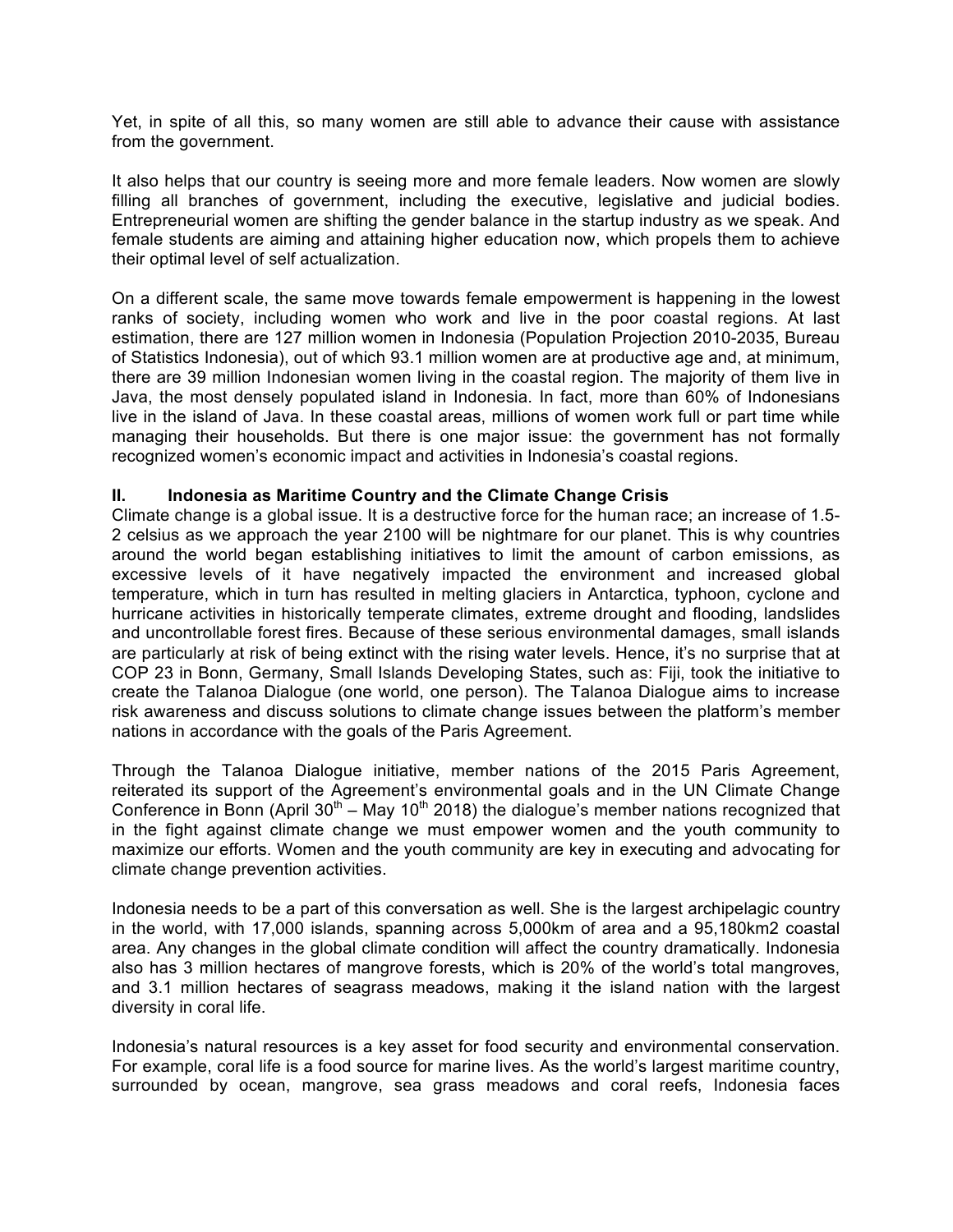Yet, in spite of all this, so many women are still able to advance their cause with assistance from the government.

It also helps that our country is seeing more and more female leaders. Now women are slowly filling all branches of government, including the executive, legislative and judicial bodies. Entrepreneurial women are shifting the gender balance in the startup industry as we speak. And female students are aiming and attaining higher education now, which propels them to achieve their optimal level of self actualization.

On a different scale, the same move towards female empowerment is happening in the lowest ranks of society, including women who work and live in the poor coastal regions. At last estimation, there are 127 million women in Indonesia (Population Projection 2010-2035, Bureau of Statistics Indonesia), out of which 93.1 million women are at productive age and, at minimum, there are 39 million Indonesian women living in the coastal region. The majority of them live in Java, the most densely populated island in Indonesia. In fact, more than 60% of Indonesians live in the island of Java. In these coastal areas, millions of women work full or part time while managing their households. But there is one major issue: the government has not formally recognized women's economic impact and activities in Indonesia's coastal regions.

## **II. Indonesia as Maritime Country and the Climate Change Crisis**

Climate change is a global issue. It is a destructive force for the human race; an increase of 1.5- 2 celsius as we approach the year 2100 will be nightmare for our planet. This is why countries around the world began establishing initiatives to limit the amount of carbon emissions, as excessive levels of it have negatively impacted the environment and increased global temperature, which in turn has resulted in melting glaciers in Antarctica, typhoon, cyclone and hurricane activities in historically temperate climates, extreme drought and flooding, landslides and uncontrollable forest fires. Because of these serious environmental damages, small islands are particularly at risk of being extinct with the rising water levels. Hence, it's no surprise that at COP 23 in Bonn, Germany, Small Islands Developing States, such as: Fiji, took the initiative to create the Talanoa Dialogue (one world, one person). The Talanoa Dialogue aims to increase risk awareness and discuss solutions to climate change issues between the platform's member nations in accordance with the goals of the Paris Agreement.

Through the Talanoa Dialogue initiative, member nations of the 2015 Paris Agreement, reiterated its support of the Agreement's environmental goals and in the UN Climate Change Conference in Bonn (April  $30<sup>th</sup> - May 10<sup>th</sup> 2018$ ) the dialogue's member nations recognized that in the fight against climate change we must empower women and the youth community to maximize our efforts. Women and the youth community are key in executing and advocating for climate change prevention activities.

Indonesia needs to be a part of this conversation as well. She is the largest archipelagic country in the world, with 17,000 islands, spanning across 5,000km of area and a 95,180km2 coastal area. Any changes in the global climate condition will affect the country dramatically. Indonesia also has 3 million hectares of mangrove forests, which is 20% of the world's total mangroves, and 3.1 million hectares of seagrass meadows, making it the island nation with the largest diversity in coral life.

Indonesia's natural resources is a key asset for food security and environmental conservation. For example, coral life is a food source for marine lives. As the world's largest maritime country, surrounded by ocean, mangrove, sea grass meadows and coral reefs, Indonesia faces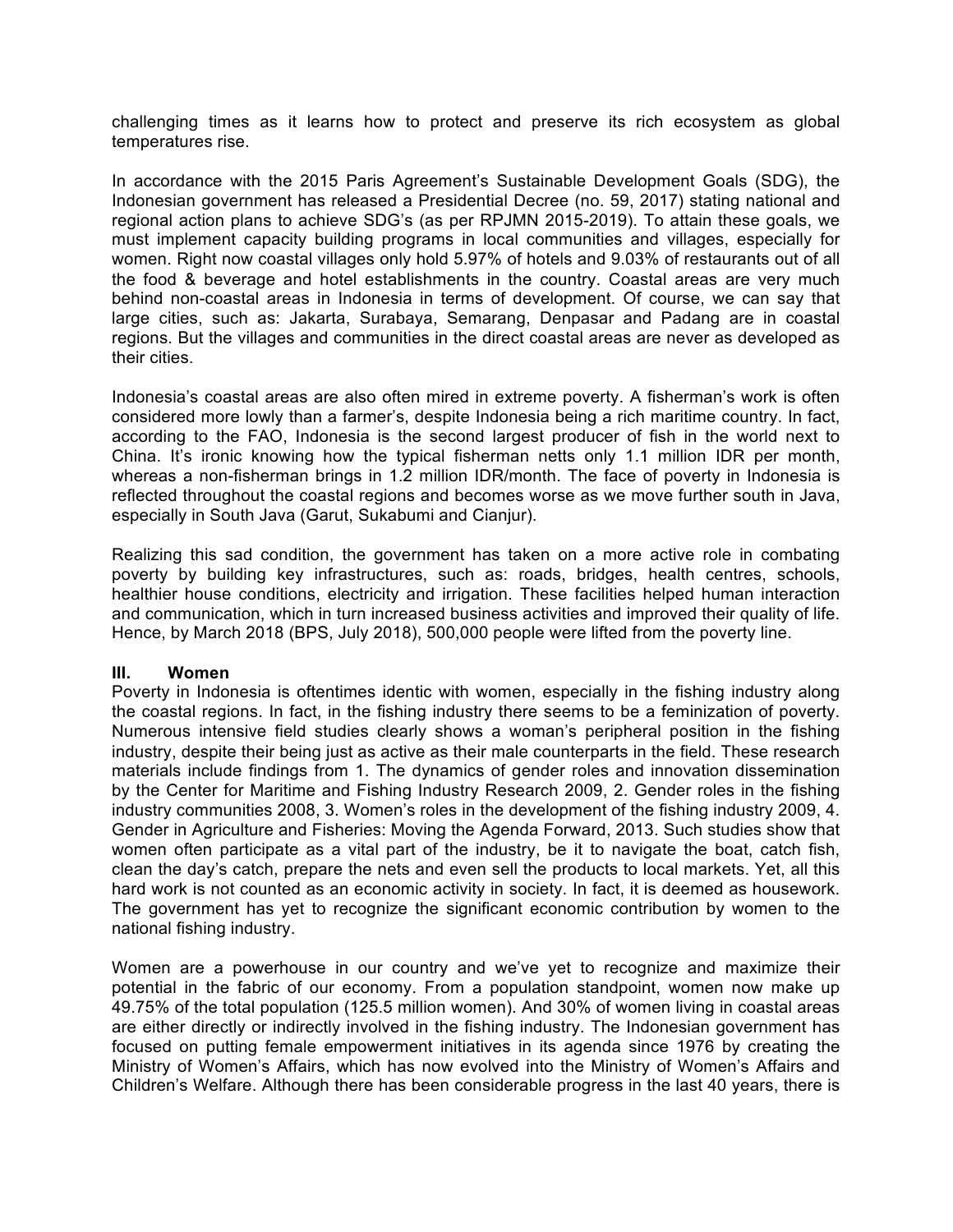challenging times as it learns how to protect and preserve its rich ecosystem as global temperatures rise.

In accordance with the 2015 Paris Agreement's Sustainable Development Goals (SDG), the Indonesian government has released a Presidential Decree (no. 59, 2017) stating national and regional action plans to achieve SDG's (as per RPJMN 2015-2019). To attain these goals, we must implement capacity building programs in local communities and villages, especially for women. Right now coastal villages only hold 5.97% of hotels and 9.03% of restaurants out of all the food & beverage and hotel establishments in the country. Coastal areas are very much behind non-coastal areas in Indonesia in terms of development. Of course, we can say that large cities, such as: Jakarta, Surabaya, Semarang, Denpasar and Padang are in coastal regions. But the villages and communities in the direct coastal areas are never as developed as their cities.

Indonesia's coastal areas are also often mired in extreme poverty. A fisherman's work is often considered more lowly than a farmer's, despite Indonesia being a rich maritime country. In fact, according to the FAO, Indonesia is the second largest producer of fish in the world next to China. It's ironic knowing how the typical fisherman netts only 1.1 million IDR per month, whereas a non-fisherman brings in 1.2 million IDR/month. The face of poverty in Indonesia is reflected throughout the coastal regions and becomes worse as we move further south in Java, especially in South Java (Garut, Sukabumi and Cianjur).

Realizing this sad condition, the government has taken on a more active role in combating poverty by building key infrastructures, such as: roads, bridges, health centres, schools, healthier house conditions, electricity and irrigation. These facilities helped human interaction and communication, which in turn increased business activities and improved their quality of life. Hence, by March 2018 (BPS, July 2018), 500,000 people were lifted from the poverty line.

### **III. Women**

Poverty in Indonesia is oftentimes identic with women, especially in the fishing industry along the coastal regions. In fact, in the fishing industry there seems to be a feminization of poverty. Numerous intensive field studies clearly shows a woman's peripheral position in the fishing industry, despite their being just as active as their male counterparts in the field. These research materials include findings from 1. The dynamics of gender roles and innovation dissemination by the Center for Maritime and Fishing Industry Research 2009, 2. Gender roles in the fishing industry communities 2008, 3. Women's roles in the development of the fishing industry 2009, 4. Gender in Agriculture and Fisheries: Moving the Agenda Forward, 2013. Such studies show that women often participate as a vital part of the industry, be it to navigate the boat, catch fish, clean the day's catch, prepare the nets and even sell the products to local markets. Yet, all this hard work is not counted as an economic activity in society. In fact, it is deemed as housework. The government has yet to recognize the significant economic contribution by women to the national fishing industry.

Women are a powerhouse in our country and we've yet to recognize and maximize their potential in the fabric of our economy. From a population standpoint, women now make up 49.75% of the total population (125.5 million women). And 30% of women living in coastal areas are either directly or indirectly involved in the fishing industry. The Indonesian government has focused on putting female empowerment initiatives in its agenda since 1976 by creating the Ministry of Women's Affairs, which has now evolved into the Ministry of Women's Affairs and Children's Welfare. Although there has been considerable progress in the last 40 years, there is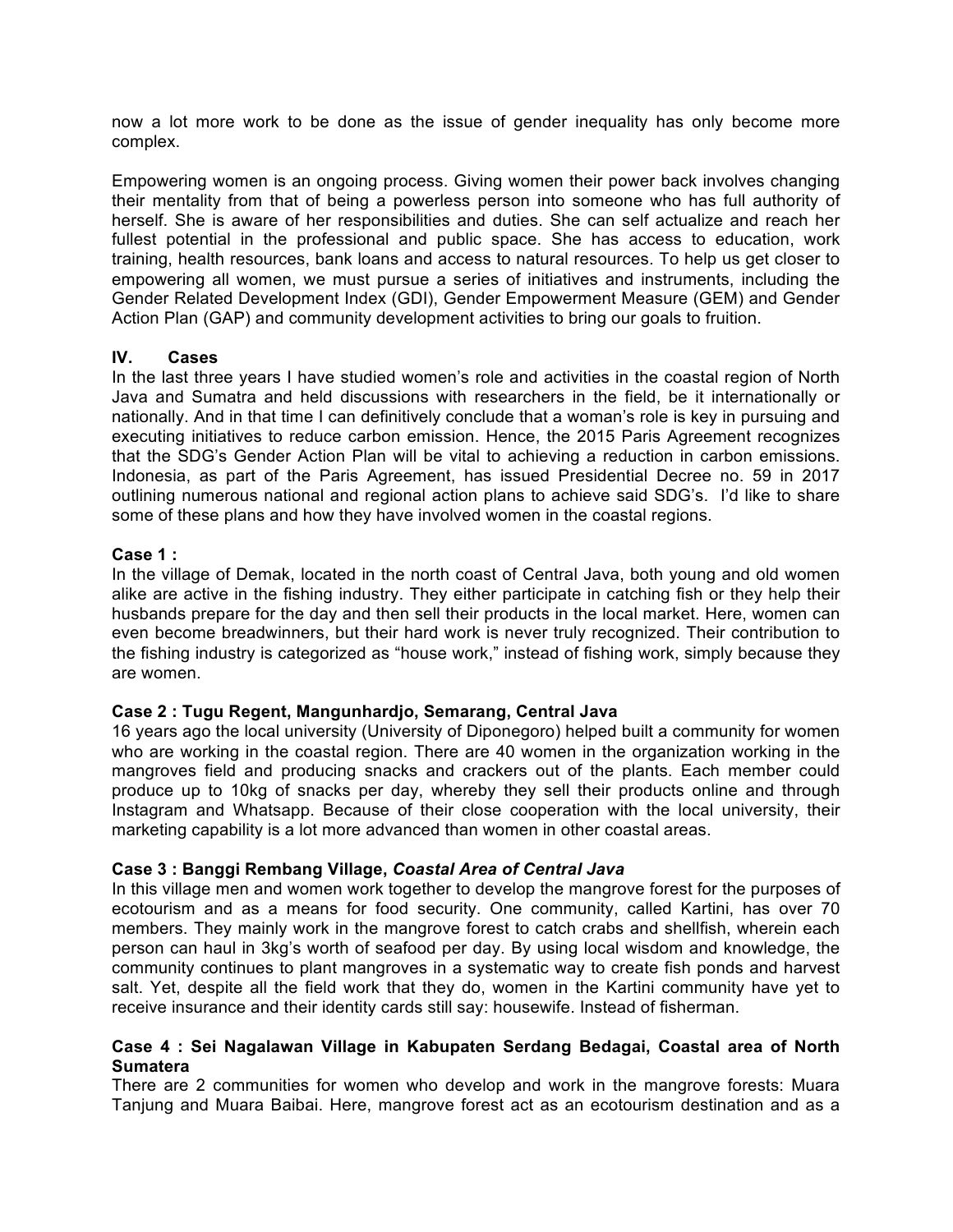now a lot more work to be done as the issue of gender inequality has only become more complex.

Empowering women is an ongoing process. Giving women their power back involves changing their mentality from that of being a powerless person into someone who has full authority of herself. She is aware of her responsibilities and duties. She can self actualize and reach her fullest potential in the professional and public space. She has access to education, work training, health resources, bank loans and access to natural resources. To help us get closer to empowering all women, we must pursue a series of initiatives and instruments, including the Gender Related Development Index (GDI), Gender Empowerment Measure (GEM) and Gender Action Plan (GAP) and community development activities to bring our goals to fruition.

## **IV. Cases**

In the last three years I have studied women's role and activities in the coastal region of North Java and Sumatra and held discussions with researchers in the field, be it internationally or nationally. And in that time I can definitively conclude that a woman's role is key in pursuing and executing initiatives to reduce carbon emission. Hence, the 2015 Paris Agreement recognizes that the SDG's Gender Action Plan will be vital to achieving a reduction in carbon emissions. Indonesia, as part of the Paris Agreement, has issued Presidential Decree no. 59 in 2017 outlining numerous national and regional action plans to achieve said SDG's. I'd like to share some of these plans and how they have involved women in the coastal regions.

## **Case 1 :**

In the village of Demak, located in the north coast of Central Java, both young and old women alike are active in the fishing industry. They either participate in catching fish or they help their husbands prepare for the day and then sell their products in the local market. Here, women can even become breadwinners, but their hard work is never truly recognized. Their contribution to the fishing industry is categorized as "house work," instead of fishing work, simply because they are women.

# **Case 2 : Tugu Regent, Mangunhardjo, Semarang, Central Java**

16 years ago the local university (University of Diponegoro) helped built a community for women who are working in the coastal region. There are 40 women in the organization working in the mangroves field and producing snacks and crackers out of the plants. Each member could produce up to 10kg of snacks per day, whereby they sell their products online and through Instagram and Whatsapp. Because of their close cooperation with the local university, their marketing capability is a lot more advanced than women in other coastal areas.

# **Case 3 : Banggi Rembang Village,** *Coastal Area of Central Java*

In this village men and women work together to develop the mangrove forest for the purposes of ecotourism and as a means for food security. One community, called Kartini, has over 70 members. They mainly work in the mangrove forest to catch crabs and shellfish, wherein each person can haul in 3kg's worth of seafood per day. By using local wisdom and knowledge, the community continues to plant mangroves in a systematic way to create fish ponds and harvest salt. Yet, despite all the field work that they do, women in the Kartini community have yet to receive insurance and their identity cards still say: housewife. Instead of fisherman.

### **Case 4 : Sei Nagalawan Village in Kabupaten Serdang Bedagai, Coastal area of North Sumatera**

There are 2 communities for women who develop and work in the mangrove forests: Muara Tanjung and Muara Baibai. Here, mangrove forest act as an ecotourism destination and as a